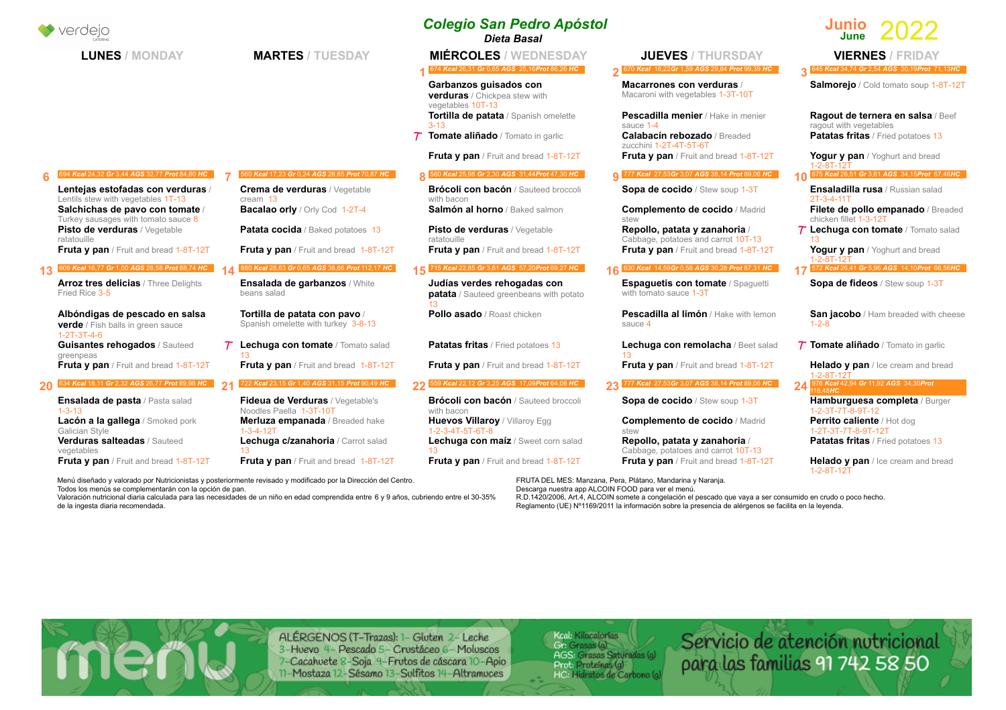|  | verdeio                                                                                             |                                                                      | <b>Colegio San Pedro Apóstol</b><br>Dieta Basal                                     |                                                                      | Junio                                             |                                                 |
|--|-----------------------------------------------------------------------------------------------------|----------------------------------------------------------------------|-------------------------------------------------------------------------------------|----------------------------------------------------------------------|---------------------------------------------------|-------------------------------------------------|
|  | <b>LUNES / MONDAY</b>                                                                               | <b>MARTES / TUESDAY</b>                                              | <b>MIÉRCOLES / WEDNESDAY</b>                                                        | <b>JUEVES / THURSDAY</b>                                             |                                                   | <b>VIERNES / FRIDAY</b>                         |
|  |                                                                                                     |                                                                      | 674 Kcal 26,31 Gr 0,65 AGS 25,16Prot 86,26 HC                                       | 670 Kcal 16,22Gr 1,59 AGS 29,84 Prot 99,39 HC                        |                                                   | 645 Kcal 34,74 Gr 2,54 AGS 30,19Prot 71,13HC    |
|  |                                                                                                     |                                                                      | Garbanzos guisados con<br><b>verduras</b> / Chickpea stew with<br>vegetables 10T-13 | Macarrones con verduras /<br>Macaroni with vegetables 1-3T-10T       |                                                   | Salmorejo / Cold tomato soup 1-8T-12T           |
|  |                                                                                                     |                                                                      | Tortilla de patata / Spanish omelette<br>$3 - 13$                                   | Pescadilla menier / Hake in menier<br>sauce 1-4                      | ragout with vegetables                            | Ragout de ternera en salsa / Beef               |
|  |                                                                                                     |                                                                      | Tomate aliñado / Tomato in garlic                                                   | <b>Calabacín rebozado / Breaded</b><br>zucchini 1-2T-4T-5T-6T        |                                                   | <b>Patatas fritas</b> / Fried potatoes 13       |
|  |                                                                                                     |                                                                      | Fruta y pan / Fruit and bread 1-8T-12T                                              | Fruta y pan / Fruit and bread 1-8T-12T                               | 1-2-8T-12T                                        | Yogur y pan / Yoghurt and bread                 |
|  | 694 Kcal 24,32 Gr 3,44 AGS 32,77 Prot 84,80 HC                                                      | 560 Kcal 17,23 Gr 0,24 AGS 28,85 Prot 70,87 HC                       | 560 Kcal 25,98 Gr 2,30 AGS 31,44 Prot 47,30 HC                                      | 0 777 Kcal 27,53Gr 3,07 AGS 38,14 Prot 89,06 HC                      |                                                   | 10 675 Kcal 26,51 Gr 3,61 AGS 34,15Prot 67,46HC |
|  | Lentejas estofadas con verduras /<br>Lentils stew with vegetables 1T-13                             | Crema de verduras / Vegetable<br>$c$ ream $13$                       | Brócoli con bacón / Sauteed broccoli<br>with bacon                                  | Sopa de cocido / Stew soup 1-3T                                      | $2T-3-4-11T$                                      | Ensaladilla rusa / Russian salad                |
|  | Salchichas de pavo con tomate /<br>Turkey sausages with tomato sauce 8                              | <b>Bacalao orly / Orly Cod 1-2T-4</b>                                | Salmón al horno / Baked salmon                                                      | <b>Complemento de cocido / Madrid</b><br>stew                        | chicken fillet 1-3-12T                            | Filete de pollo empanado / Breaded              |
|  | Pisto de verduras / Vegetable<br>ratatouille                                                        | <b>Patata cocida</b> / Baked potatoes 13                             | Pisto de verduras / Vegetable<br>ratatouille                                        | Repollo, patata y zanahoria /<br>Cabbage, potatoes and carrot 10T-13 |                                                   | <b>7 Lechuga con tomate</b> / Tomato salad      |
|  | Fruta y pan / Fruit and bread 1-8T-12T                                                              | Fruta y pan / Fruit and bread 1-8T-12T                               | <b>Fruta y pan</b> / Fruit and bread 1-8T-12T                                       | Fruta y pan / Fruit and bread 1-8T-12T                               |                                                   | Yogur y pan / Yoghurt and bread                 |
|  | 609 Kcal 16,77 Gr 1,00 AGS 28,58 Prot 88,74 HC                                                      | 880 Kcal 28,63 Gr 0,65 AGS 38,66 Prot 112,17 HC                      | 715 Kcal 22,85 Gr 3,61 AGS 57,20Prot 69,27 HC                                       | 16 630 Kcal 14,59Gr 0,58 AGS 30,28 Prot 87,31 HC                     |                                                   | 17 572 Kcal 26,41 Gr 5,96 AGS 14,10Prot 66,56HC |
|  | <b>Arroz tres delicias</b> / Three Delights<br>Fried Rice 3-5                                       | Ensalada de garbanzos / White<br>beans salad                         | Judías verdes rehogadas con<br>patata / Sauteed greenbeans with potato              | <b>Espaguetis con tomate / Spaguetti</b><br>with tomato sauce 1-3T   |                                                   | Sopa de fideos / Stew soup 1-3T                 |
|  | Albóndigas de pescado en salsa<br><b>verde</b> / Fish balls in green sauce<br>$1 - 2T - 3T - 4 - 6$ | Tortilla de patata con pavo /<br>Spanish omelette with turkey 3-8-13 | Pollo asado / Roast chicken                                                         | Pescadilla al limón / Hake with lemon<br>sauce 4                     | $1 - 2 - 8$                                       | San jacobo / Ham breaded with cheese            |
|  | Guisantes rehogados / Sauteed<br>greenpeas                                                          | $7$ Lechuga con tomate / Tomato salad                                | <b>Patatas fritas</b> / Fried potatoes 13                                           | Lechuga con remolacha / Beet salad                                   |                                                   | <b>7 Tomate aliñado</b> / Tomato in garlic      |
|  | Fruta y pan / Fruit and bread 1-8T-12T                                                              | Fruta y pan / Fruit and bread 1-8T-12T                               | <b>Fruta y pan</b> / Fruit and bread 1-8T-12T                                       | <b>Fruta y pan</b> / Fruit and bread 1-8T-12T                        | 1-2-8T-12T                                        | Helado y pan / Ice cream and bread              |
|  | 634 Kcal 18,11 Gr 2,32 AGS 26,77 Prot 89,98 HC 94                                                   | 722 Kcal 23,15 Gr 1,40 AGS 31,15 Prot 90,49 HC                       | 22 559 Kcal 22,12 Gr 3,25 AGS 17,09Prot 64,08 HC                                    | 23 777 Kcal 27,53Gr 3,07 AGS 38,14 Prot 89,06 HC                     | 24 976 Kcal 42,94 Gr 11,92 AGS 34,30Prot          |                                                 |
|  | <b>Ensalada de pasta / Pasta salad</b><br>$1 - 3 - 13$                                              | Fideua de Verduras / Vegetable's<br>Noodles Paella 1-3T-10T          | Brócoli con bacón / Sauteed broccoli<br>with bacon                                  | Sopa de cocido / Stew soup 1-3T                                      | $1 - 2 - 3T - 7T - 8 - 9T - 12$                   | Hamburguesa completa / Burger                   |
|  | <b>Lacón a la gallega</b> / Smoked pork<br>Galician Style                                           | Merluza empanada / Breaded hake<br>$1 - 3 - 4 - 12T$                 | <b>Huevos Villaroy / Villaroy Egg</b><br>1-2-3-4T-5T-6T-8                           | <b>Complemento de cocido / Madrid</b><br>stew                        | Perrito caliente / Hot dog<br>1-2T-3T-7T-8-9T-12T |                                                 |
|  | Verduras salteadas / Sauteed<br>vegetables                                                          | Lechuga c/zanahoria / Carrot salad                                   | Lechuga con maíz / Sweet corn salad                                                 | Repollo, patata y zanahoria /<br>Cabbage, potatoes and carrot 10T-13 |                                                   | Patatas fritas / Fried potatoes 13              |
|  | <b>Fruta y pan</b> / Fruit and bread 1-8T-12T                                                       | <b>Fruta y pan</b> / Fruit and bread 1-8T-12T                        | <b>Fruta y pan</b> / Fruit and bread 1-8T-12T                                       | Fruta y pan / Fruit and bread 1-8T-12T                               | $1 - 2 - 8T - 12T$                                | Helado y pan / Ice cream and bread              |
|  |                                                                                                     |                                                                      |                                                                                     |                                                                      |                                                   |                                                 |

Menú diseñado y valorado por Nutricionistas y posteriormente revisado y modificado por la Dirección del Centro. Todos los menús se complementarán con la opción de pan.

menu

Menú diseñado y valorado por Nutricionistas y posteriormente revisado y modificado por la Dirección del Centro.<br>Todos los menús se complementarán con la opción de pan.<br>Valoración nutricional diaria calculada para las neces Descarga nuestra app ALCOIN FOOD para ver el menú. R.D.1420/2006, Art.4, ALCOIN somete a congelación el pescado que vaya a ser consumido en crudo o poco hecho. Reglamento (UE) Nº1169/2011 la información sobre la presencia de alérgenos se facilita en la leyenda.

Servicio de atención nutricional<br>para las familias 91 742 58 50

ALÉRGENOS (T-Trazas): 1- Gluten 2- Leche 3-Huevo 4- Pescado 5- Crustáceo 6- Moluscos 7-Cacahuete 8-Soja 9-Frutos de cáscara 10-Apio 11-Mostaza 12-Sésamo 13-Sulfitos 14-Altramuces

Keal: Kilocalorías<br>Gr: Grasas (g)<br>AGS: Grasas Saturadas (g)<br>Prot: Proteínas (g)<br>HC: Hidratos de Carbono (g)